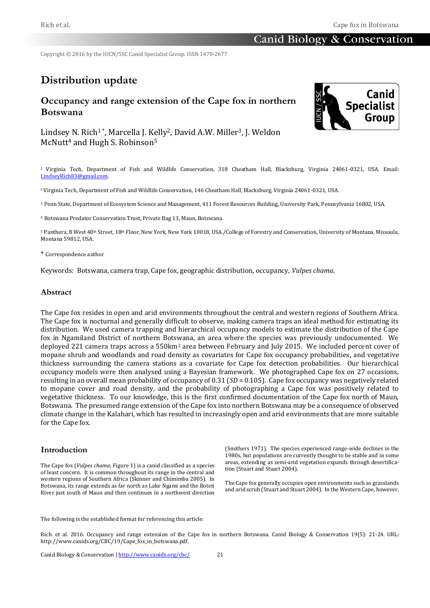# **Canid Biology & Conservation**

Copyright © 2016 by the IUCN/SSC Canid Specialist Group. ISSN 1478-2677

# **Distribution update**

# **Occupancy and range extension of the Cape fox in northern Botswana**



Lindsey N. Rich<sup>1</sup>\*, Marcella J. Kelly<sup>2</sup>, David A.W. Miller<sup>3</sup>, J. Weldon McNutt<sup>4</sup> and Hugh S. Robinson<sup>5</sup>

<sup>1</sup>Virginia Tech, Department of Fish and Wildlife Conservation, 318 Cheatham Hall, Blacksburg, Virginia 24061-0321, USA. Email: [LindseyRich83@gmail.com.](mailto:geraldine.werhahn@zoo.ox.ac.uk)

<sup>2</sup>Virginia Tech, Department of Fish and Wildlife Conservation, 146 Cheatham Hall, Blacksburg, Virginia 24061-0321, USA.

<sup>3</sup> Penn State, Department of Ecosystem Science and Management, 411 Forest Resources Building, University Park, Pennsylvania 16802, USA.

<sup>4</sup> Botswana Predator Conservation Trust, Private Bag 13, Maun, Botswana.

5 Panthera, 8 West 40<sup>th</sup> Street, 18<sup>th</sup> Floor, New York, New York 10018, USA./College of Forestry and Conservation, University of Montana, Missoula, Montana 59812, USA.

#### \* Correspondence author

Keywords: Botswana, camera trap, Cape fox, geographic distribution, occupancy, *Vulpes chama*.

#### **Abstract**

The Cape fox resides in open and arid environments throughout the central and western regions of Southern Africa. The Cape fox is nocturnal and generally difficult to observe, making camera traps an ideal method for estimating its distribution. We used camera trapping and hierarchical occupancy models to estimate the distribution of the Cape fox in Ngamiland District of northern Botswana, an area where the species was previously undocumented. We deployed 221 camera traps across a 550km<sup>2</sup> area between February and July 2015. We included percent cover of mopane shrub and woodlands and road density as covariates for Cape fox occupancy probabilities, and vegetative thickness surrounding the camera stations as a covariate for Cape fox detection probabilities. Our hierarchical occupancy models were then analysed using a Bayesian framework. We photographed Cape fox on 27 occasions, resulting in an overall mean probability of occupancy of 0.31 (*SD* = 0.105). Cape fox occupancy was negatively related to mopane cover and road density, and the probability of photographing a Cape fox was positively related to vegetative thickness. To our knowledge, this is the first confirmed documentation of the Cape fox north of Maun, Botswana. The presumed range extension of the Cape fox into northern Botswana may be a consequence of observed climate change in the Kalahari, which has resulted in increasingly open and arid environments that are more suitable for the Cape fox.

#### **Introduction**

The Cape fox (*Vulpes chama*; Figure 1) is a canid classified as a species of least concern. It is common throughout its range in the central and western regions of Southern Africa (Skinner and Chimimba 2005). In Botswana, its range extends as far north as Lake Ngami and the Boteti River just south of Maun and then continues in a northwest direction

(Smithers 1971). The species experienced range-wide declines in the 1980s, but populations are currently thought to be stable and in some areas, extending as semi-arid vegetation expands through desertification (Stuart and Stuart 2004).

The Cape fox generally occupies open environments such as grasslands and arid scrub (Stuart and Stuart 2004). In the Western Cape, however,

The following is the established format for referencing this article:

Rich. et al. 2016. Occupancy and range extension of the Cape fox in northern Botswana. Canid Biology & Conservation 19(5): 21-24. URL: http://www.canids.org/CBC/19/Cape\_fox\_in\_botswana.pdf.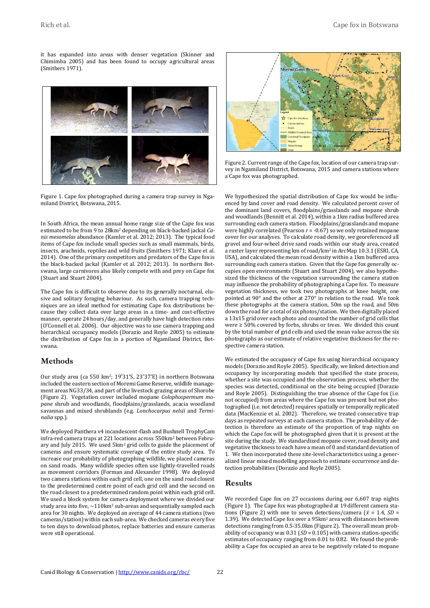it has expanded into areas with denser vegetation (Skinner and Chimimba 2005) and has been found to occupy agricultural areas (Smithers 1971).



Figure 1. Cape fox photographed during a camera trap survey in Ngamiland District, Botswana, 2015.

In South Africa, the mean annual home range size of the Cape fox was estimated to be from 9 to 28km<sup>2</sup> depending on black-backed jackal *Canis mesomelas* abundance (Kamler et al. 2012; 2013). The typical food items of Cape fox include small species such as small mammals, birds, insects, arachnids, reptiles and wild fruits (Smithers 1971; Klare et al. 2014). One of the primary competitors and predators of the Cape fox is the black-backed jackal (Kamler et al. 2012; 2013). In northern Botswana, large carnivores also likely compete with and prey on Cape fox (Stuart and Stuart 2004).

The Cape fox is difficult to observe due to its generally nocturnal, elusive and solitary foraging behaviour. As such, camera trapping techniques are an ideal method for estimating Cape fox distributions because they collect data over large areas in a time- and cost-effective manner, operate 24 hours/day, and generally have high detection rates (O'Connell et al. 2006). Our objective was to use camera trapping and hierarchical occupancy models (Dorazio and Royle 2005) to estimate the distribution of Cape fox in a portion of Ngamiland District, Botswana.

#### **Methods**

Our study area (ca 550 km2; 19˚31ʹS, 23˚37ʹE) in northern Botswana included the eastern section of Moremi Game Reserve, wildlife management areas NG33/34, and part of the livestock grazing areas of Shorobe (Figure 2). Vegetation cover included mopane *Colophospermum mopane* shrub and woodlands, floodplains/grasslands, acacia woodland savannas and mixed shrublands (e.g. *Lonchocarpus nelsii* and *Terminalia* spp.).

We deployed Panthera v4 incandescent-flash and Bushnell TrophyCam infra-red camera traps at 221 locations across 550km<sup>2</sup> between February and July 2015. We used 5km<sup>2</sup> grid cells to guide the placement of cameras and ensure systematic coverage of the entire study area. To increase our probability of photographing wildlife, we placed cameras on sand roads. Many wildlife species often use lightly-travelled roads as movement corridors (Forman and Alexander 1998). We deployed two camera stations within each grid cell, one on the sand road closest to the predetermined centre point of each grid cell and the second on the road closest to a predetermined random point within each grid cell. We used a block system for camera deployment where we divided our study area into five,  $\sim$ 110km<sup>2</sup> sub-areas and sequentially sampled each area for 30 nights. We deployed an average of 44 camera stations (two cameras/station) within each sub-area. We checked cameras every five to ten days to download photos, replace batteries and ensure cameras were still operational.



Figure 2. Current range of the Cape fox, location of our camera trap survey in Ngamiland District, Botswana, 2015 and camera stations where a Cape fox was photographed.

We hypothesized the spatial distribution of Cape fox would be influenced by land cover and road density. We calculated percent cover of the dominant land covers, floodplains/grasslands and mopane shrub and woodlands (Bennitt et al. 2014), within a 1km radius buffered area surrounding each camera station. Floodplains/grasslands and mopane were highly correlated (Pearson *r* = -0.67) so we only retained mopane cover for our analyses. To calculate road density, we georeferenced all gravel and four-wheel drive sand roads within our study area, created a raster layer representing km of road/km2 in ArcMap 10.3.1 (ESRI, CA, USA), and calculated the mean road density within a 1km buffered area surrounding each camera station. Given that the Cape fox generally occupies open environments (Stuart and Stuart 2004), we also hypothesized the thickness of the vegetation surrounding the camera station may influence the probability of photographing a Cape fox. To measure vegetation thickness, we took two photographs at knee height, one pointed at 90° and the other at 270° in relation to the road. We took these photographs at the camera station, 50m up the road, and 50m down the road for a total of six photos/station. We then digitally placed a 13x15 grid over each photo and counted the number of grid cells that were ≥ 50% covered by forbs, shrubs or trees. We divided this count by the total number of grid cells and used the mean value across the six photographs as our estimate of relative vegetative thickness for the respective camera station.

We estimated the occupancy of Cape fox using hierarchical occupancy models (Dorazio and Royle 2005). Specifically, we linked detection and occupancy by incorporating models that specified the state process, whether a site was occupied and the observation process, whether the species was detected, conditional on the site being occupied (Dorazio and Royle 2005). Distinguishing the true absence of the Cape fox (i.e. not occupied) from areas where the Cape fox was present but not photographed (i.e. not detected) requires spatially or temporally replicated data (MacKenzie et al. 2002). Therefore, we treated consecutive trap days as repeated surveys at each camera station. The probability of detection is therefore an estimate of the proportion of trap nights on which the Cape fox will be photographed given that it is present at the site during the study. We standardized mopane cover, road density and vegetative thickness to each have a mean of 0 and standard deviation of 1. We then incorporated these site-level characteristics using a generalized linear mixed modelling approach to estimate occurrence and detection probabilities (Dorazio and Royle 2005).

### **Results**

We recorded Cape fox on 27 occasions during our 6,607 trap nights (Figure 1). The Cape fox was photographed at 19 different camera stations (Figure 2) with one to seven detections/camera ( $\bar{x}$  = 1.4, *SD* = 1.39). We detected Cape fox over a 95km<sup>2</sup> area with distances between detections ranging from 0.5-35.0km (Figure 2). The overall mean probability of occupancy was 0.31 (*SD* = 0.105) with camera station-specific estimates of occupancy ranging from 0.01 to 0.82. We found the probability a Cape fox occupied an area to be negatively related to mopane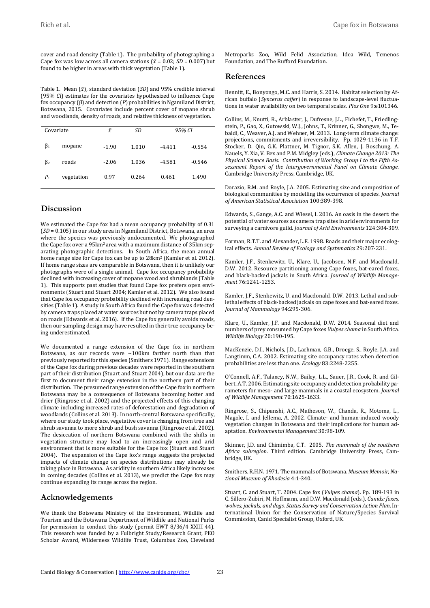cover and road density (Table 1). The probability of photographing a Cape fox was low across all camera stations ( $\bar{x}$  = 0.02; *SD* = 0.007) but found to be higher in areas with thick vegetation (Table 1).

Table 1. Mean  $(\bar{x})$ , standard deviation (*SD*) and 95% credible interval (95% *CI*) estimates for the covariates hypothesized to influence Cape fox occupancy (β) and detection (*P*) probabilities in Ngamiland District, Botswana, 2015. Covariates include percent cover of mopane shrub and woodlands, density of roads, and relative thickness of vegetation.

| Covariate      |            | $\bar{x}$ | SD    | 95% CI   |          |
|----------------|------------|-----------|-------|----------|----------|
| $\beta_1$      | mopane     | $-1.90$   | 1.010 | $-4.411$ | $-0.554$ |
| $\beta_2$      | roads      | $-2.06$   | 1.036 | $-4.581$ | $-0.546$ |
| P <sub>1</sub> | vegetation | 0.97      | 0.264 | 0.461    | 1.490    |

# **Discussion**

We estimated the Cape fox had a mean occupancy probability of 0.31 (*SD* = 0.105) in our study area in Ngamiland District, Botswana, an area where the species was previously undocumented. We photographed the Cape fox over a 95km<sup>2</sup> area with a maximum distance of 35km separating photographic detections. In South Africa, the mean annual home range size for Cape fox can be up to 28km<sup>2</sup> (Kamler et al. 2012). If home range sizes are comparable in Botswana, then it is unlikely our photographs were of a single animal. Cape fox occupancy probability declined with increasing cover of mopane wood and shrublands (Table 1). This supports past studies that found Cape fox prefers open environments (Stuart and Stuart 2004; Kamler et al. 2012). We also found that Cape fox occupancy probability declined with increasing road densities (Table 1). A study in South Africa found the Cape fox was detected by camera traps placed at water sources but not by camera traps placed on roads (Edwards et al. 2016). If the Cape fox generally avoids roads, then our sampling design may have resulted in their true occupancy being underestimated.

We documented a range extension of the Cape fox in northern Botswana, as our records were ~100km farther north than that previously reported for this species (Smithers 1971). Range extensions of the Cape fox during previous decades were reported in the southern part of their distribution (Stuart and Stuart 2004), but our data are the first to document their range extension in the northern part of their distribution. The presumed range extension of the Cape fox in northern Botswana may be a consequence of Botswana becoming hotter and drier (Ringrose et al. 2002) and the projected effects of this changing climate including increased rates of deforestation and degradation of woodlands (Collins et al. 2013). In north-central Botswana specifically, where our study took place, vegetative cover is changing from tree and shrub savanna to more shrub and bush savanna (Ringrose et al. 2002). The desiccation of northern Botswana combined with the shifts in vegetation structure may lead to an increasingly open and arid environment that is more suitable for the Cape fox (Stuart and Stuart 2004). The expansion of the Cape fox's range suggests the projected impacts of climate change on species distributions may already be taking place in Botswana. As aridity in southern Africa likely increases in coming decades (Collins et al. 2013), we predict the Cape fox may continue expanding its range across the region.

### **Acknowledgements**

We thank the Botswana Ministry of the Environment, Wildlife and Tourism and the Botswana Department of Wildlife and National Parks for permission to conduct this study (permit EWT 8/36/4 XXIII 44). This research was funded by a Fulbright Study/Research Grant, PEO Scholar Award, Wilderness Wildlife Trust, Columbus Zoo, Cleveland Metroparks Zoo, Wild Felid Association, Idea Wild, Temenos Foundation, and The Rufford Foundation.

#### **References**

Bennitt, E., Bonyongo, M.C. and Harris, S. 2014. Habitat selection by African buffalo (*Syncerus caffer*) in response to landscape-level fluctuations in water availability on two temporal scales. *Plos One* 9:e101346.

Collins, M., Knutti, R., Arblaster, J., Dufresne, J.L., Fichefet, T., Friedlingstein, P., Gao, X., Gutowski, W.J., Johns, T., Krinner, G., Shongwe, M., Tebaldi, C., Weaver, A.J. and Wehner, M. 2013. Long-term climate change: projections, commitments and irreversibility. Pp. 1029-1136 in T.F. Stocker, D. Qin, G.K. Plattner, M. Tignor, S.K. Allen, J. Boschung, A. Nauels, Y. Xia, V. Bex and P.M. Midgley (eds.), *Climate Change 2013: The Physical Science Basis. Contribution of Working Group I to the Fifth Assessment Report of the Intergovernmental Panel on Climate Change*. Cambridge University Press, Cambridge, UK.

Dorazio, R.M. and Royle, J.A. 2005. Estimating size and composition of biological communities by modelling the occurrence of species. *Journal of American Statistical Association* 100:389-398.

Edwards, S., Gange, A.C. and Wiesel, I. 2016. An oasis in the desert: the potential of water sources as camera trap sites in arid environments for surveying a carnivore guild. *Journal of Arid Environments* 124:304-309.

Forman, R.T.T. and Alexander, L.E. 1998. Roads and their major ecological effects. *Annual Review of Ecology and Systematics* 29:207-231.

Kamler, J.F., Stenkewitz, U., Klare, U., Jacobsen, N.F. and Macdonald, D.W. 2012. Resource partitioning among Cape foxes, bat-eared foxes, and black-backed jackals in South Africa. *Journal of Wildlife Management* 76:1241-1253.

Kamler, J.F., Stenkewitz, U. and Macdonald, D.W. 2013. Lethal and sublethal effects of black-backed jackals on cape foxes and bat-eared foxes. *Journal of Mammalogy* 94:295-306.

Klare, U., Kamler, J.F. and Macdonald, D.W. 2014. Seasonal diet and numbers of prey consumed by Cape foxes *Vulpes chama* in South Africa. *Wildlife Biology* 20:190-195.

MacKenzie, D.I., Nichols, J.D., Lachman, G.B., Droege, S., Royle, J.A. and Langtimm, C.A. 2002. Estimating site occupancy rates when detection probabilities are less than one. *Ecology* 83:2248-2255.

O'Connell, A.F., Talancy, N.W., Bailey, L.L., Sauer, J.R., Cook, R. and Gilbert, A.T. 2006. Estimating site occupancy and detection probability parameters for meso- and large mammals in a coastal ecosystem. *Journal of Wildlife Management* 70:1625-1633.

Ringrose, S., Chipanshi, A.C., Matheson, W., Chanda, R., Motoma, L., Magole, I. and Jellema, A. 2002. Climate- and human-induced woody vegetation changes in Botswana and their implications for human adaptation. *Environmental Management* 30:98-109.

Skinner, J.D. and Chimimba, C.T. 2005. *The mammals of the southern Africa subregion*. Third edition. Cambridge University Press, Cambridge, UK.

Smithers, R.H.N. 1971. The mammals of Botswana. *Museum Memoir, National Museum of Rhodesia* 4:1-340.

Stuart, C. and Stuart, T. 2004. Cape fox (*Vulpes chama*). Pp. 189-193 in C. Sillero-Zubiri, M. Hoffmann, and D.W. Macdonald (eds.), *Canids: foxes, wolves, jackals, and dogs. Status Survey and Conservation Action Plan*. International Union for the Conservation of Nature/Species Survival Commission, Canid Specialist Group, Oxford, UK.